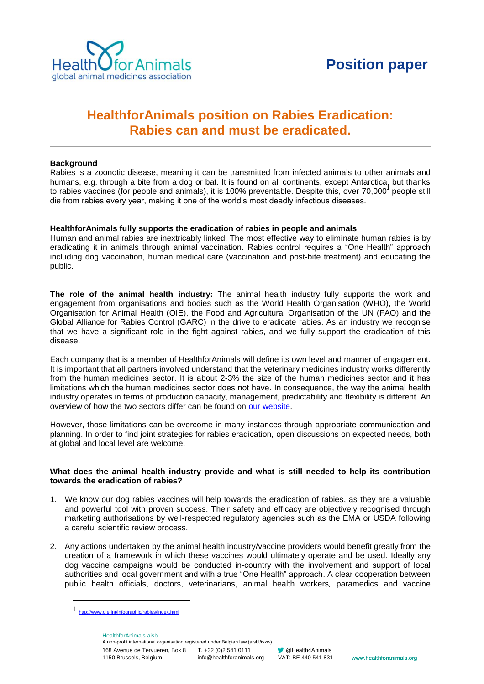

# **Rabies can and must be eradicated.**

## **Background**

Rabies is a zoonotic disease, meaning it can be transmitted from infected animals to other animals and humans, e.g. through a bite from a dog or bat. It is found on all continents, except Antarctica, but thanks to rabies vaccines (for people and animals), it is 100% preventable. Despite this, over 70,000<sup>1</sup> people still die from rabies every year, making it one of the world's most deadly infectious diseases.

### **HealthforAnimals fully supports the eradication of rabies in people and animals**

Human and animal rabies are inextricably linked. The most effective way to eliminate human rabies is by eradicating it in animals through animal vaccination. Rabies control requires a "One Health" approach including dog vaccination, human medical care (vaccination and post-bite treatment) and educating the public.

**Healthfor Animals position on Rabies Eradication:**<br> **Rabies can and must be eradicated.**<br> **Rabies can and must be readicated.**<br> **Rabies can and must be readicated.**<br> **Raby the firm adopt but the manufally and the controll The role of the animal health industry:** The animal health industry fully supports the work and engagement from organisations and bodies such as the World Health Organisation (WHO), the World Organisation for Animal Health (OIE), the Food and Agricultural Organisation of the UN (FAO) and the Global Alliance for Rabies Control (GARC) in the drive to eradicate rabies. As an industry we recognise that we have a significant role in the fight against rabies, and we fully support the eradication of this disease.

Each company that is a member of HealthforAnimals will define its own level and manner of engagement. It is important that all partners involved understand that the veterinary medicines industry works differently from the human medicines sector. It is about 2-3% the size of the human medicines sector and it has limitations which the human medicines sector does not have. In consequence, the way the animal health industry operates in terms of production capacity, management, predictability and flexibility is different. An overview of how the two sectors differ can be found on [our website.](http://healthforanimals.org/infographic-veterinary-medicines-vs-human-medicines/)

However, those limitations can be overcome in many instances through appropriate communication and planning. In order to find joint strategies for rabies eradication, open discussions on expected needs, both at global and local level are welcome.

#### **What does the animal health industry provide and what is still needed to help its contribution towards the eradication of rabies?**

- 1. We know our dog rabies vaccines will help towards the eradication of rabies, as they are a valuable and powerful tool with proven success. Their safety and efficacy are objectively recognised through marketing authorisations by well-respected regulatory agencies such as the EMA or USDA following a careful scientific review process.
- 2. Any actions undertaken by the animal health industry/vaccine providers would benefit greatly from the creation of a framework in which these vaccines would ultimately operate and be used. Ideally any dog vaccine campaigns would be conducted in-country with the involvement and support of local authorities and local government and with a true "One Health" approach. A clear cooperation between public health officials, doctors, veterinarians, animal health workers, paramedics and vaccine

 $\overline{a}$ 

168 Avenue de Tervueren, Box 8 T. +32 (0)2 541 0111 1150 Brussels, Belgium HealthforAnimals aisbl A non-profit international organisation registered under Belgian law (aisbl/ivzw) info@healthforanimals.org

<sup>1</sup> <http://www.oie.int/infographic/rabies/index.html>